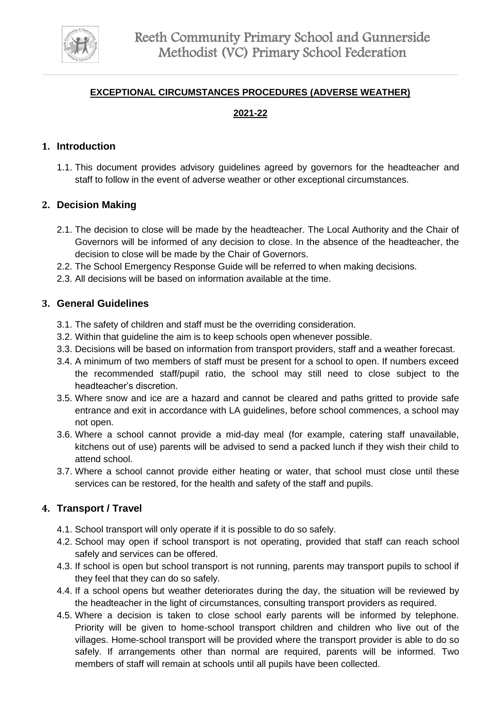

### **EXCEPTIONAL CIRCUMSTANCES PROCEDURES (ADVERSE WEATHER)**

# **2021-22**

### **1. Introduction**

1.1. This document provides advisory guidelines agreed by governors for the headteacher and staff to follow in the event of adverse weather or other exceptional circumstances.

# **2. Decision Making**

- 2.1. The decision to close will be made by the headteacher. The Local Authority and the Chair of Governors will be informed of any decision to close. In the absence of the headteacher, the decision to close will be made by the Chair of Governors.
- 2.2. The School Emergency Response Guide will be referred to when making decisions.
- 2.3. All decisions will be based on information available at the time.

#### **3. General Guidelines**

- 3.1. The safety of children and staff must be the overriding consideration.
- 3.2. Within that guideline the aim is to keep schools open whenever possible.
- 3.3. Decisions will be based on information from transport providers, staff and a weather forecast.
- 3.4. A minimum of two members of staff must be present for a school to open. If numbers exceed the recommended staff/pupil ratio, the school may still need to close subject to the headteacher's discretion.
- 3.5. Where snow and ice are a hazard and cannot be cleared and paths gritted to provide safe entrance and exit in accordance with LA guidelines, before school commences, a school may not open.
- 3.6. Where a school cannot provide a mid-day meal (for example, catering staff unavailable, kitchens out of use) parents will be advised to send a packed lunch if they wish their child to attend school.
- 3.7. Where a school cannot provide either heating or water, that school must close until these services can be restored, for the health and safety of the staff and pupils.

#### **4. Transport / Travel**

- 4.1. School transport will only operate if it is possible to do so safely.
- 4.2. School may open if school transport is not operating, provided that staff can reach school safely and services can be offered.
- 4.3. If school is open but school transport is not running, parents may transport pupils to school if they feel that they can do so safely.
- 4.4. If a school opens but weather deteriorates during the day, the situation will be reviewed by the headteacher in the light of circumstances, consulting transport providers as required.
- 4.5. Where a decision is taken to close school early parents will be informed by telephone. Priority will be given to home-school transport children and children who live out of the villages. Home-school transport will be provided where the transport provider is able to do so safely. If arrangements other than normal are required, parents will be informed. Two members of staff will remain at schools until all pupils have been collected.